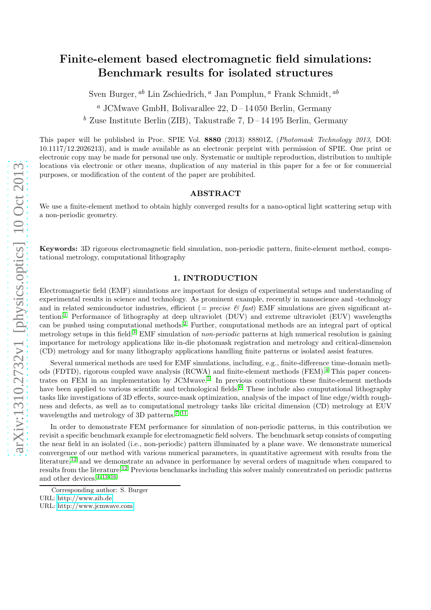# Finite-element based electromagnetic field simulations: Benchmark results for isolated structures

Sven Burger,  $^{ab}$  Lin Zschiedrich,  $^a$  Jan Pomplun,  $^a$  Frank Schmidt,  $^{ab}$ 

<sup>*a*</sup> JCMwave GmbH, Bolivarallee 22, D – 14 050 Berlin, Germany

<sup>b</sup> Zuse Institute Berlin (ZIB), Takustraße 7, D – 14 195 Berlin, Germany

This paper will be published in Proc. SPIE Vol. 8880 (2013) 88801Z, (Photomask Technology 2013, DOI: 10.1117/12.2026213), and is made available as an electronic preprint with permission of SPIE. One print or electronic copy may be made for personal use only. Systematic or multiple reproduction, distribution to multiple locations via electronic or other means, duplication of any material in this paper for a fee or for commercial purposes, or modification of the content of the paper are prohibited.

## ABSTRACT

We use a finite-element method to obtain highly converged results for a nano-optical light scattering setup with a non-periodic geometry.

Keywords: 3D rigorous electromagnetic field simulation, non-periodic pattern, finite-element method, computational metrology, computational lithography

## 1. INTRODUCTION

Electromagnetic field (EMF) simulations are important for design of experimental setups and understanding of experimental results in science and technology. As prominent example, recently in nanoscience and -technology and in related semiconductor industries, efficient (= precise  $\mathscr{C}$  fast) EMF simulations are given significant attention:[1](#page-5-0) Performance of lithography at deep ultraviolet (DUV) and extreme ultraviolet (EUV) wavelengths can be pushed using computational methods.[2](#page-5-1) Further, computational methods are an integral part of optical metrology setups in this field.<sup>[3](#page-5-2)</sup> EMF simulation of non-periodic patterns at high numerical resolution is gaining importance for metrology applications like in-die photomask registration and metrology and critical-dimension (CD) metrology and for many lithography applications handling finite patterns or isolated assist features.

Several numerical methods are used for EMF simulations, including, e.g., finite-difference time-domain methods (FDTD), rigorous coupled wave analysis (RCWA) and finite-element methods (FEM).[4](#page-5-3) This paper concen-trates on FEM in an implementation by JCMwave.<sup>[5](#page-5-4)</sup> In previous contributions these finite-element methods have been applied to various scientific and technological fields.<sup>[6](#page-5-5)</sup> These include also computational lithography tasks like investigations of 3D effects, source-mask optimization, analysis of the impact of line edge/width roughness and defects, as well as to computational metrology tasks like cricital dimension (CD) metrology at EUV wavelengths and metrology of 3D patterns.<sup>[7](#page-5-6)[–11](#page-6-0)</sup>

In order to demonstrate FEM performance for simulation of non-periodic patterns, in this contribution we revisit a specific benchmark example for electromagnetic field solvers. The benchmark setup consists of computing the near field in an isolated (i.e., non-periodic) pattern illuminated by a plane wave. We demonstrate numerical convergence of our method with various numerical parameters, in quantitative agreement with results from the literature,<sup>[12](#page-6-1)</sup> and we demonstrate an advance in performance by several orders of magnitude when compared to results from the literature.[12](#page-6-1) Previous benchmarks including this solver mainly concentrated on periodic patterns and other devices.<sup>[4,](#page-5-3) [13–](#page-6-2)[16](#page-6-3)</sup>

Corresponding author: S. Burger URL:<http://www.zib.de>

URL:<http://www.jcmwave.com>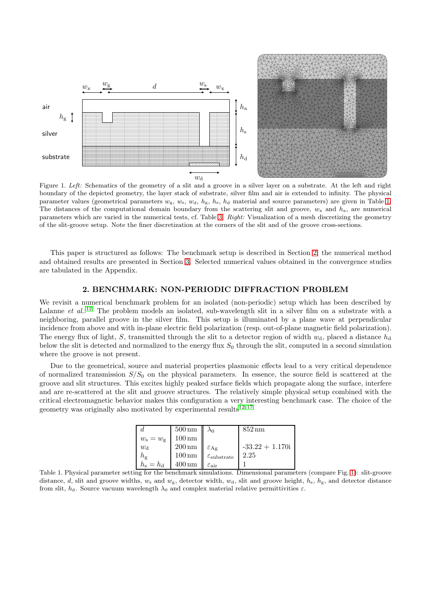

<span id="page-1-2"></span>Figure 1. Left: Schematics of the geometry of a slit and a groove in a silver layer on a substrate. At the left and right boundary of the depicted geometry, the layer stack of substrate, silver film and air is extended to infinity. The physical parameter values (geometrical parameters  $w_g$ ,  $w_s$ ,  $w_d$ ,  $h_g$ ,  $h_s$ ,  $h_d$  material and source parameters) are given in Table [1.](#page-1-0) The distances of the computational domain boundary from the scattering slit and groove,  $w_x$  and  $h_a$ , are numerical parameters which are varied in the numerical tests, cf. Table [3.](#page-7-0) Right: Visualization of a mesh discretizing the geometry of the slit-groove setup. Note the finer discretization at the corners of the slit and of the groove cross-sections.

This paper is structured as follows: The benchmark setup is described in Section [2,](#page-1-1) the numerical method and obtained results are presented in Section [3.](#page-2-0) Selected numerical values obtained in the convergence studies are tabulated in the Appendix.

## 2. BENCHMARK: NON-PERIODIC DIFFRACTION PROBLEM

<span id="page-1-1"></span>We revisit a numerical benchmark problem for an isolated (non-periodic) setup which has been described by Lalanne et  $al$ .<sup>[12](#page-6-1)</sup> The problem models an isolated, sub-wavelength slit in a silver film on a substrate with a neighboring, parallel groove in the silver film. This setup is illuminated by a plane wave at perpendicular incidence from above and with in-plane electric field polarization (resp. out-of-plane magnetic field polarization). The energy flux of light, S, transmitted through the slit to a detector region of width  $w_d$ , placed a distance  $h_d$ below the slit is detected and normalized to the energy flux  $S_0$  through the slit, computed in a second simulation where the groove is not present.

Due to the geometrical, source and material properties plasmonic effects lead to a very critical dependence of normalized transmission  $S/S_0$  on the physical parameters. In essence, the source field is scattered at the groove and slit structures. This excites highly peaked surface fields which propagate along the surface, interfere and are re-scattered at the slit and groove structures. The relatively simple physical setup combined with the critical electromagnetic behavior makes this configuration a very interesting benchmark case. The choice of the geometry was originally also motivated by experimental results<sup>[12,](#page-6-1) [17](#page-6-4)</sup>

|                       | $500 \,\mathrm{nm}$ $\lambda_0$ |                                  | $852 \,\mathrm{nm}$ |
|-----------------------|---------------------------------|----------------------------------|---------------------|
| $w_{\rm s}=w_{\rm g}$ | $100 \,\mathrm{nm}$             |                                  |                     |
| $w_{\rm d}$           | $200 \,\mathrm{nm}$             | $\varepsilon$ Ag                 | $-33.22 + 1.170i$   |
| $h_{\rm g}$           | $100 \,\mathrm{nm}$             | $\varepsilon_{\text{substrate}}$ | 2.25                |
| $h_{\rm s}=h_{\rm d}$ | $400 \,\mathrm{nm}$             | $\varepsilon_{\rm air}$          |                     |

<span id="page-1-0"></span>Table 1. Physical parameter setting for the benchmark simulations. Dimensional parameters (compare Fig. [1\)](#page-1-2): slit-groove distance, d, slit and groove widths,  $w_s$  and  $w_g$ , detector width,  $w_d$ , slit and groove height,  $h_s$ ,  $h_g$ , and detector distance from slit,  $h_d$ . Source vacuum wavelength  $\lambda_0$  and complex material relative permittivities ε.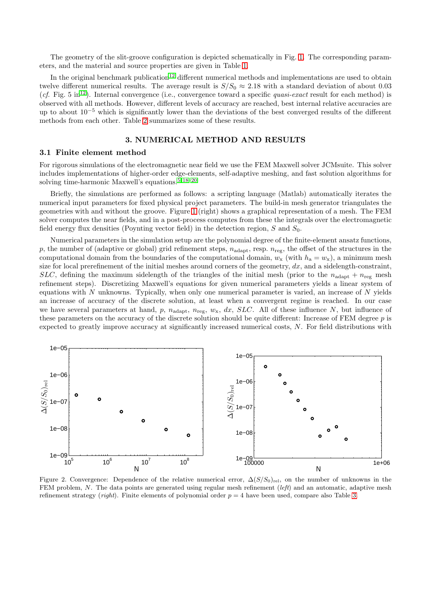The geometry of the slit-groove configuration is depicted schematically in Fig. [1.](#page-1-2) The corresponding parameters, and the material and source properties are given in Table [1.](#page-1-0)

In the original benchmark publication<sup>[12](#page-6-1)</sup> different numerical methods and implementations are used to obtain twelve different numerical results. The average result is  $S/S_0 \approx 2.18$  with a standard deviation of about 0.03 (cf. Fig. 5 in<sup>[12](#page-6-1)</sup>). Internal convergence (i.e., convergence toward a specific *quasi-exact* result for each method) is observed with all methods. However, different levels of accuracy are reached, best internal relative accuracies are up to about  $10^{-5}$  which is significantly lower than the deviations of the best converged results of the different methods from each other. Table [2](#page-6-5) summarizes some of these results.

## 3. NUMERICAL METHOD AND RESULTS

#### <span id="page-2-0"></span>3.1 Finite element method

For rigorous simulations of the electromagnetic near field we use the FEM Maxwell solver JCMsuite. This solver includes implementations of higher-order edge-elements, self-adaptive meshing, and fast solution algorithms for solving time-harmonic Maxwell's equations.<sup>[5,](#page-5-4) [18](#page-6-6)[–20](#page-6-7)</sup>

Briefly, the simulations are performed as follows: a scripting language (Matlab) automatically iterates the numerical input parameters for fixed physical project parameters. The build-in mesh generator triangulates the geometries with and without the groove. Figure [1](#page-1-2) (right) shows a graphical representation of a mesh. The FEM solver computes the near fields, and in a post-process computes from these the integrals over the electromagnetic field energy flux densities (Poynting vector field) in the detection region,  $S$  and  $S_0$ .

Numerical parameters in the simulation setup are the polynomial degree of the finite-element ansatz functions, p, the number of (adaptive or global) grid refinement steps,  $n_{\text{adapt}}$ , resp.  $n_{\text{reg}}$ , the offset of the structures in the computational domain from the boundaries of the computational domain,  $w_x$  (with  $h_a = w_x$ ), a minimum mesh size for local prerefinement of the initial meshes around corners of the geometry,  $dx$ , and a sidelength-constraint, SLC, defining the maximum sidelength of the triangles of the initial mesh (prior to the  $n_{\text{adapt}} + n_{\text{reg}}$  mesh refinement steps). Discretizing Maxwell's equations for given numerical parameters yields a linear system of equations with  $N$  unknowns. Typically, when only one numerical parameter is varied, an increase of  $N$  yields an increase of accuracy of the discrete solution, at least when a convergent regime is reached. In our case we have several parameters at hand, p,  $n_{\text{adapt}}$ ,  $n_{\text{reg}}$ ,  $w_x$ ,  $dx$ ,  $SLC$ . All of these influence N, but influence of these parameters on the accuracy of the discrete solution should be quite different: Increase of FEM degree p is expected to greatly improve accuracy at significantly increased numerical costs, N. For field distributions with



<span id="page-2-1"></span>Figure 2. Convergence: Dependence of the relative numerical error,  $\Delta(S/S_0)_{rel}$ , on the number of unknowns in the FEM problem,  $N$ . The data points are generated using regular mesh refinement (left) and an automatic, adaptive mesh refinement strategy (*right*). Finite elements of polynomial order  $p = 4$  have been used, compare also Table [3.](#page-7-0)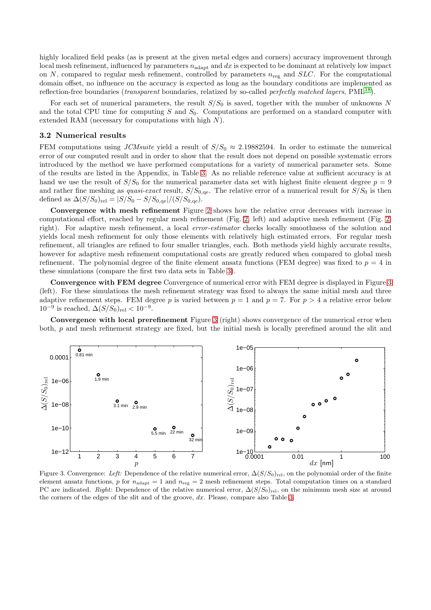highly localized field peaks (as is present at the given metal edges and corners) accuracy improvement through local mesh refinement, influenced by parameters  $n_{adapt}$  and dx is expected to be dominant at relatively low impact on N, compared to regular mesh refinement, controlled by parameters  $n_{reg}$  and  $SLC$ . For the computational domain offset, no influence on the accuracy is expected as long as the boundary conditions are implemented as reflection-free boundaries (*transparent* boundaries, relatized by so-called *perfectly matched layers*, PML<sup>[18](#page-6-6)</sup>).

For each set of numerical parameters, the result  $S/S_0$  is saved, together with the number of unknowns N and the total CPU time for computing  $S$  and  $S_0$ . Computations are performed on a standard computer with extended RAM (necessary for computations with high  $N$ ).

#### 3.2 Numerical results

FEM computations using JCMsuite yield a result of  $S/S_0 \approx 2.19882594$ . In order to estimate the numerical error of our computed result and in order to show that the result does not depend on possible systematic errors introduced by the method we have performed computations for a variety of numerical parameter sets. Some of the results are listed in the Appendix, in Table [3.](#page-7-0) As no reliable reference value at sufficient accuracy is at hand we use the result of  $S/S_0$  for the numerical parameter data set with highest finite element degree  $p = 9$ and rather fine meshing as *quasi-exact* result,  $S/S_{0,\text{qe}}$ . The relative error of a numerical result for  $S/S_0$  is then defined as  $\Delta(S/S_0)_{rel} = |S/S_0 - S/S_{0,qe}|/(S/S_{0,qe}).$ 

Convergence with mesh refinement Figure [2](#page-2-1) shows how the relative error decreases with increase in computational effort, reached by regular mesh refinement (Fig. [2,](#page-2-1) left) and adaptive mesh refinement (Fig. [2,](#page-2-1) right). For adaptive mesh refinement, a local error-estimator checks locally smoothness of the solution and yields local mesh refinement for only those elements with relatively high estimated errors. For regular mesh refinement, all triangles are refined to four smaller triangles, each. Both methods yield highly accurate results, however for adaptive mesh refinement computational costs are greatly reduced when compared to global mesh refinement. The polynomial degree of the finite element ansatz functions (FEM degree) was fixed to  $p = 4$  in these simulations (compare the first two data sets in Table [3\)](#page-7-0).

Convergence with FEM degree Convergence of numerical error with FEM degree is displayed in Figure [3](#page-3-0) (left). For these simulations the mesh refinement strategy was fixed to always the same initial mesh and three adaptive refinement steps. FEM degree p is varied between  $p = 1$  and  $p = 7$ . For  $p > 4$  a relative error below  $10^{-9}$  is reached,  $\Delta(S/S_0)_{rel} < 10^{-9}$ .

Convergence with local prerefinement Figure [3](#page-3-0) (right) shows convergence of the numerical error when both, p and mesh refinement strategy are fixed, but the initial mesh is locally prerefined around the slit and





<span id="page-3-0"></span>Figure 3. Convergence: Left: Dependence of the relative numerical error,  $\Delta(S/S_0)_{rel}$ , on the polynomial order of the finite element ansatz functions, p for  $n_{\text{adapt}} = 1$  and  $n_{\text{reg}} = 2$  mesh refinement steps. Total computation times on a standard PC are indicated. Right: Dependence of the relative numerical error,  $\Delta(S/S_0)_{\text{rel}}$ , on the minimum mesh size at around the corners of the edges of the slit and of the groove,  $dx$ . Please, compare also Table [3.](#page-7-0)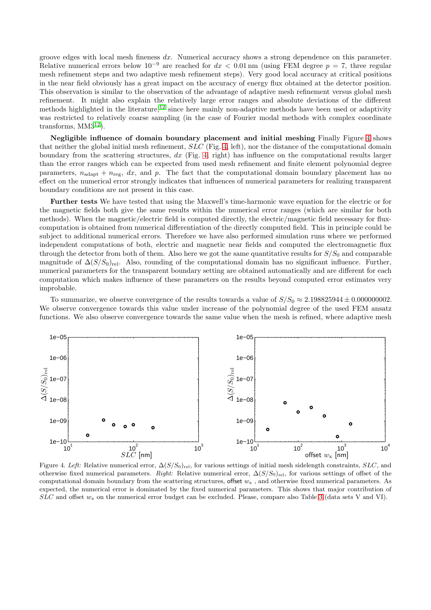groove edges with local mesh fineness  $dx$ . Numerical accuracy shows a strong dependence on this parameter. Relative numerical errors below  $10^{-9}$  are reached for  $dx < 0.01$  nm (using FEM degree  $p = 7$ , three regular mesh refinement steps and two adaptive mesh refinement steps). Very good local accuracy at critical positions in the near field obviously has a great impact on the accuracy of energy flux obtained at the detector position. This observation is similar to the observation of the advantage of adaptive mesh refinement versus global mesh refinement. It might also explain the relatively large error ranges and absolute deviations of the different methods highlighted in the literature,<sup>[12](#page-6-1)</sup> since here mainly non-adaptive methods have been used or adaptivity was restricted to relatively coarse sampling (in the case of Fourier modal methods with complex coordinate transforms,  $MM3^{12}$  $MM3^{12}$  $MM3^{12}$ ).

Negligible influence of domain boundary placement and initial meshing Finally Figure [4](#page-4-0) shows that neither the global initial mesh refinement,  $SLC$  (Fig. [4,](#page-4-0) left), nor the distance of the computational domain boundary from the scattering structures,  $dx$  (Fig. [4,](#page-4-0) right) has influence on the computational results larger than the error ranges which can be expected from used mesh refinement and finite element polynomial degree parameters,  $n_{\text{adapt}} + n_{\text{reg}}$ , dx, and p. The fact that the computational domain boundary placement has no effect on the numerical error strongly indicates that influences of numerical parameters for realizing transparent boundary conditions are not present in this case.

Further tests We have tested that using the Maxwell's time-harmonic wave equation for the electric or for the magnetic fields both give the same results within the numerical error ranges (which are similar for both methods). When the magnetic/electric field is computed directly, the electric/magnetic field necessary for fluxcomputation is obtained from numerical differentiation of the directly computed field. This in principle could be subject to additional numerical errors. Therefore we have also performed simulation runs where we performed independent computations of both, electric and magnetic near fields and computed the electromagnetic flux through the detector from both of them. Also here we got the same quantitative results for  $S/S_0$  and comparable magnitude of  $\Delta(S/S_0)_{rel}$ . Also, rounding of the computational domain has no significant influence. Further, numerical parameters for the transparent boundary setting are obtained automatically and are different for each computation which makes influence of these parameters on the results beyond computed error estimates very improbable.

To summarize, we observe convergence of the results towards a value of  $S/S_0 \approx 2.198825944 \pm 0.000000002$ . We observe convergence towards this value under increase of the polynomial degree of the used FEM ansatz functions. We also observe convergence towards the same value when the mesh is refined, where adaptive mesh



<span id="page-4-0"></span>Figure 4. Left: Relative numerical error,  $\Delta(S/S_0)_{rel}$ , for various settings of initial mesh sidelength constraints,  $SLC$ , and otherwise fixed numerical parameters. Right: Relative numerical error,  $\Delta(S/S_0)_{rel}$ , for various settings of offset of the computational domain boundary from the scattering structures, offset  $w_x$ , and otherwise fixed numerical parameters. As expected, the numerical error is dominated by the fixed numerical parameters. This shows that major contribution of  $SLC$  and offset  $w_x$  on the numerical error budget can be excluded. Please, compare also Table [3](#page-7-0) (data sets V and VI).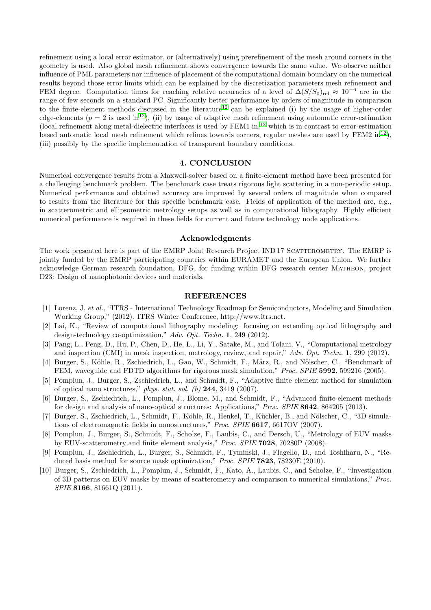refinement using a local error estimator, or (alternatively) using prerefinement of the mesh around corners in the geometry is used. Also global mesh refinement shows convergence towards the same value. We observe neither influence of PML parameters nor influence of placement of the computational domain boundary on the numerical results beyond those error limits which can be explained by the discretization parameters mesh refinement and FEM degree. Computation times for reaching relative accuracies of a level of  $\Delta(S/S_0)_{rel} \approx 10^{-6}$  are in the range of few seconds on a standard PC. Significantly better performance by orders of magnitude in comparison to the finite-element methods discussed in the literature[12](#page-6-1) can be explained (i) by the usage of higher-order edge-elements ( $p = 2$  is used in<sup>[12](#page-6-1)</sup>), (ii) by usage of adaptive mesh refinement using automatic error-estimation (local refinement along metal-dielectric interfaces is used by FEM1 in, [12](#page-6-1) which is in contrast to error-estimation based automatic local mesh refinement which refines towards corners, regular meshes are used by FEM2 in<sup>[12](#page-6-1)</sup>), (iii) possibly by the specific implementation of transparent boundary conditions.

#### 4. CONCLUSION

Numerical convergence results from a Maxwell-solver based on a finite-element method have been presented for a challenging benchmark problem. The benchmark case treats rigorous light scattering in a non-periodic setup. Numerical performance and obtained accuracy are improved by several orders of magnitude when compared to results from the literature for this specific benchmark case. Fields of application of the method are, e.g., in scatterometric and ellipsometric metrology setups as well as in computational lithography. Highly efficient numerical performance is required in these fields for current and future technology node applications.

#### Acknowledgments

The work presented here is part of the EMRP Joint Research Project IND 17 Scatterometry. The EMRP is jointly funded by the EMRP participating countries within EURAMET and the European Union. We further acknowledge German research foundation, DFG, for funding within DFG research center Matheon, project D23: Design of nanophotonic devices and materials.

#### REFERENCES

- <span id="page-5-0"></span>[1] Lorenz, J. et al., "ITRS - International Technology Roadmap for Semiconductors, Modeling and Simulation Working Group," (2012). ITRS Winter Conference, http://www.itrs.net.
- <span id="page-5-1"></span>[2] Lai, K., "Review of computational lithography modeling: focusing on extending optical lithography and design-technology co-optimization," Adv. Opt. Techn. 1, 249 (2012).
- <span id="page-5-2"></span>[3] Pang, L., Peng, D., Hu, P., Chen, D., He, L., Li, Y., Satake, M., and Tolani, V., "Computational metrology and inspection (CMI) in mask inspection, metrology, review, and repair," Adv. Opt. Techn. 1, 299 (2012).
- <span id="page-5-3"></span>[4] Burger, S., Köhle, R., Zschiedrich, L., Gao, W., Schmidt, F., März, R., and Nölscher, C., "Benchmark of FEM, waveguide and FDTD algorithms for rigorous mask simulation," Proc. SPIE 5992, 599216 (2005).
- <span id="page-5-4"></span>[5] Pomplun, J., Burger, S., Zschiedrich, L., and Schmidt, F., "Adaptive finite element method for simulation of optical nano structures," phys. stat. sol. (b)  $244$ ,  $3419$  (2007).
- <span id="page-5-5"></span>[6] Burger, S., Zschiedrich, L., Pomplun, J., Blome, M., and Schmidt, F., "Advanced finite-element methods for design and analysis of nano-optical structures: Applications," Proc. SPIE 8642, 864205 (2013).
- <span id="page-5-6"></span>[7] Burger, S., Zschiedrich, L., Schmidt, F., Köhle, R., Henkel, T., Küchler, B., and Nölscher, C., "3D simulations of electromagnetic fields in nanostructures," Proc. SPIE 6617, 6617OV (2007).
- [8] Pomplun, J., Burger, S., Schmidt, F., Scholze, F., Laubis, C., and Dersch, U., "Metrology of EUV masks by EUV-scatterometry and finite element analysis," Proc. SPIE 7028, 70280P (2008).
- [9] Pomplun, J., Zschiedrich, L., Burger, S., Schmidt, F., Tyminski, J., Flagello, D., and Toshiharu, N., "Reduced basis method for source mask optimization," Proc. SPIE **7823**, 78230E (2010).
- [10] Burger, S., Zschiedrich, L., Pomplun, J., Schmidt, F., Kato, A., Laubis, C., and Scholze, F., "Investigation of 3D patterns on EUV masks by means of scatterometry and comparison to numerical simulations," Proc. SPIE 8166, 81661Q (2011).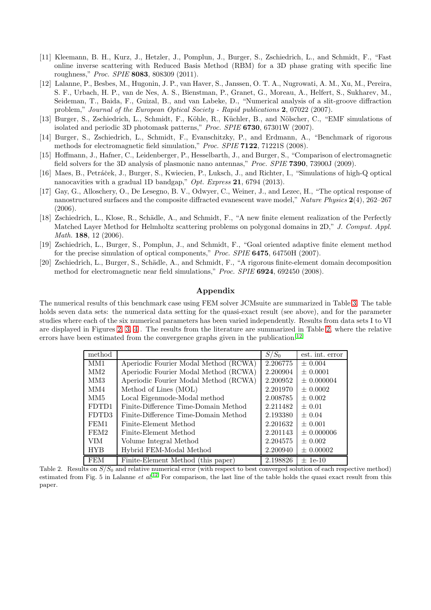- <span id="page-6-0"></span>[11] Kleemann, B. H., Kurz, J., Hetzler, J., Pomplun, J., Burger, S., Zschiedrich, L., and Schmidt, F., "Fast online inverse scattering with Reduced Basis Method (RBM) for a 3D phase grating with specific line roughness," Proc. SPIE 8083, 808309 (2011).
- <span id="page-6-1"></span>[12] Lalanne, P., Besbes, M., Hugonin, J. P., van Haver, S., Janssen, O. T. A., Nugrowati, A. M., Xu, M., Pereira, S. F., Urbach, H. P., van de Nes, A. S., Bienstman, P., Granet, G., Moreau, A., Helfert, S., Sukharev, M., Seideman, T., Baida, F., Guizal, B., and van Labeke, D., "Numerical analysis of a slit-groove diffraction problem," Journal of the European Optical Society - Rapid publications 2, 07022 (2007).
- <span id="page-6-2"></span>[13] Burger, S., Zschiedrich, L., Schmidt, F., Köhle, R., Küchler, B., and Nölscher, C., "EMF simulations of isolated and periodic 3D photomask patterns," Proc. SPIE 6730, 67301W (2007).
- [14] Burger, S., Zschiedrich, L., Schmidt, F., Evanschitzky, P., and Erdmann, A., "Benchmark of rigorous methods for electromagnetic field simulation," Proc. SPIE **7122**, 71221S (2008).
- [15] Hoffmann, J., Hafner, C., Leidenberger, P., Hesselbarth, J., and Burger, S., "Comparison of electromagnetic field solvers for the 3D analysis of plasmonic nano antennas," Proc. SPIE 7390, 73900J (2009).
- <span id="page-6-3"></span>[16] Maes, B., Petráček, J., Burger, S., Kwiecien, P., Luksch, J., and Richter, I., "Simulations of high-Q optical nanocavities with a gradual 1D bandgap," Opt. Express 21, 6794 (2013).
- <span id="page-6-4"></span>[17] Gay, G., Alloschery, O., De Lesegno, B. V., Odwyer, C., Weiner, J., and Lezec, H., "The optical response of nanostructured surfaces and the composite diffracted evanescent wave model," Nature Physics 2(4), 262–267 (2006).
- <span id="page-6-6"></span>[18] Zschiedrich, L., Klose, R., Schädle, A., and Schmidt, F., "A new finite element realization of the Perfectly Matched Layer Method for Helmholtz scattering problems on polygonal domains in 2D," J. Comput. Appl. Math. **188**, 12 (2006).
- [19] Zschiedrich, L., Burger, S., Pomplun, J., and Schmidt, F., "Goal oriented adaptive finite element method for the precise simulation of optical components," Proc. SPIE 6475, 64750H (2007).
- <span id="page-6-7"></span>[20] Zschiedrich, L., Burger, S., Schädle, A., and Schmidt, F., "A rigorous finite-element domain decomposition method for electromagnetic near field simulations," Proc. SPIE 6924, 692450 (2008).

## Appendix

The numerical results of this benchmark case using FEM solver JCMsuite are summarized in Table [3.](#page-7-0) The table holds seven data sets: the numerical data setting for the quasi-exact result (see above), and for the parameter studies where each of the six numerical parameters has been varied independently. Results from data sets I to VI are displayed in Figures [2,](#page-2-1) [3,](#page-3-0) [4](#page-4-0) . The results from the literature are summarized in Table [2,](#page-6-5) where the relative errors have been estimated from the convergence graphs given in the publication.<sup>[12](#page-6-1)</sup>

| method          |                                       | $S/S_0$  | est. int. error |
|-----------------|---------------------------------------|----------|-----------------|
| MM1             | Aperiodic Fourier Modal Method (RCWA) | 2.206775 | $\pm 0.004$     |
| MM2             | Aperiodic Fourier Modal Method (RCWA) | 2.200904 | $\pm 0.0001$    |
| MM <sub>3</sub> | Aperiodic Fourier Modal Method (RCWA) | 2.200952 | $\pm 0.000004$  |
| MM4             | Method of Lines (MOL)                 | 2.201970 | $\pm 0.0002$    |
| MM <sub>5</sub> | Local Eigenmode-Modal method          | 2.008785 | $\pm 0.002$     |
| FDTD1           | Finite-Difference Time-Domain Method  | 2.211482 | $\pm 0.01$      |
| FDTD3           | Finite-Difference Time-Domain Method  | 2.193380 | $\pm 0.04$      |
| FEM1            | Finite-Element Method                 | 2.201632 | $\pm 0.001$     |
| FEM2            | Finite-Element Method                 | 2.201143 | $\pm 0.000006$  |
| <b>VIM</b>      | Volume Integral Method                | 2.204575 | $\pm 0.002$     |
| <b>HYB</b>      | Hybrid FEM-Modal Method               | 2.200940 | $\pm 0.00002$   |
| <b>FEM</b>      | Finite-Element Method (this paper)    | 2.198826 | $\pm$ 1e-10     |

<span id="page-6-5"></span>Table 2. Results on  $S/S_0$  and relative numerical error (with respect to best converged solution of each respective method) estimated from Fig. 5 in Lalanne *et al.*<sup>[12](#page-6-1)</sup> For comparison, the last line of the table holds the quasi exact result from this paper.